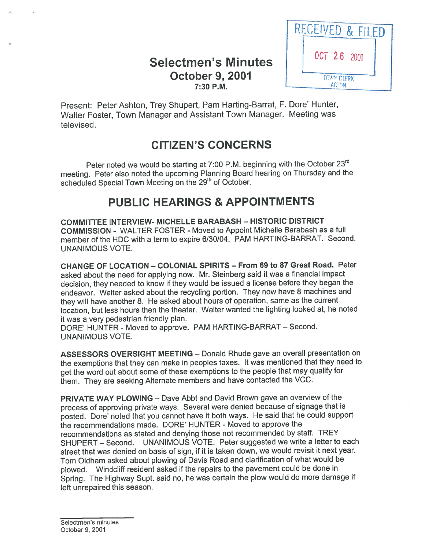## **Selectmen's Minutes October 9, 2001**  $7:30$  P.M.



Present: Peter Ashton, Trey Shupert, Pam Harting-Barrat, F. Dore' Hunter, Walter Foster, Town Manager and Assistant Town Manager. Meeting was televised.

# CITIZEN'S CONCERNS

Peter noted we would be starting at 7:00 P.M. beginning with the October 23rd meeting. Peter also noted the upcoming Planning Board hearing on Thursday and the scheduled Special Town Meeting on the 29<sup>th</sup> of October.

# PUBLIC HEARINGS & APPOINTMENTS

COMMITTEE INTERVIEW- MICHELLE BARABASH — HISTORIC DISTRICT COMMISSION - WALTER FOSTER - Moved to Appoint Michelle Barabash as <sup>a</sup> full member of the HDC with <sup>a</sup> term to expire 6/30/04. PAM HARTING-BARRAT. Second. UNANIMOUS VOTE.

CHANGE OF LOCATION — COLONIAL SPIRITS — From 69 to 87 Great Road. Peter asked about the need for applying now. Mr. Steinberg said it was <sup>a</sup> financial impact decision, they needed to know if they would be issued <sup>a</sup> license before they began the endeavor. Walter asked about the recycling portion. They now have <sup>8</sup> machines and they will have another 8. He asked about hours of operation, same as the current location, but less hours then the theater. Walter wanted the lighting looked at, he noted it was <sup>a</sup> very pedestrian friendly plan.

DORE' HUNTER - Moved to approve. PAM HARTING-BARRAT — Second. UNANIMOUS VOTE.

ASSESSORS OVERSIGHT MEETING — Donald Rhude gave an overall presentation on the exemptions that they can make in peoples taxes. It was mentioned that they need to ge<sup>t</sup> the word out about some of these exemptions to the people that may qualify for them. They are seeking Alternate members and have contacted the VCC.

PRIVATE WAY PLOWING — Dave Abbt and David Brown gave an overview of the process of approving private ways. Several were denied because of signage that is posted. Dore' noted that you cannot have it both ways. He said that he could support the recommendations made. DORE' HUNTER - Moved to approve the recommendations as stated and denying those not recommended by staff. TREY SHUPERT — Second. UNANIMOUS VOTE. Peter suggested we write <sup>a</sup> letter to each street that was denied on basis of sign, if it is taken down, we would revisit it next year. Tom Oldham asked about <sup>p</sup>lowing of Davis Road and clarification of what would be <sup>p</sup>lowed. Windcliff resident asked if the repairs to the pavemen<sup>t</sup> could be done in Spring. The Highway Supt. said no, he was certain the <sup>p</sup>low would do more damage if left unrepaired this season.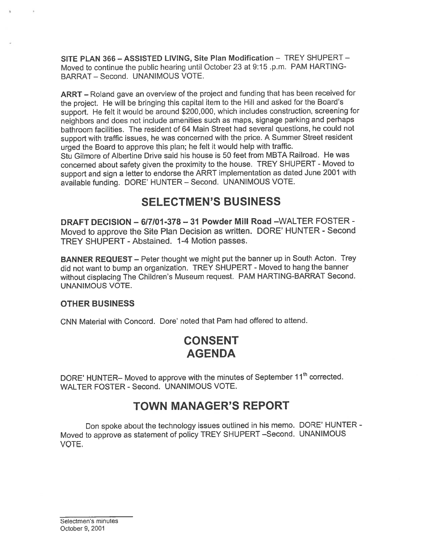SITE PLAN 366 — ASSISTED LIVING, Site Plan Modification — TREY SHUPERT — Moved to continue the public hearing until October23 at 9:15 .p.m. PAM HARTING BARRAT — Second. UNANIMOUS VOTE.

ARRT — Roland gave an overview of the project and funding that has been received for the project. He will be bringing this capital item to the Hill and asked for the Board's support. He felt it would be around \$200,000, which includes construction, screening for neighbors and does not include amenities such as maps, signage parking and perhaps bathroom facilities. The resident of 64 Main Street had several questions, he could not suppor<sup>t</sup> with traffic issues, he was concerned with the price. <sup>A</sup> Summer Street resident urge<sup>d</sup> the Board to approve this <sup>p</sup>lan; he felt it would help with traffic.

Stu Gilmore of Albertine Drive said his house is 50 feet from MBTA Railroad. He was concerned about safety <sup>g</sup>iven the proximity to the house. TREY SHUPERT - Moved to suppor<sup>t</sup> and sign <sup>a</sup> letter to endorse the ARRT implementation as dated June <sup>2001</sup> with available funding. DORE' HUNTER — Second. UNANIMOUS VOTE.

## SELECTMEN'S BUSINESS

DRAFT DECISION —617101-378—31 Powder Mill Road —WALTER FOSTER - Moved to approve the Site Plan Decision as written. DORE' HUNTER - Second TREY SHUPERT - Abstained. 1-4 Motion passes.

BANNER REQUEST — Peter thought we might pu<sup>t</sup> the banner up in South Acton. Trey did not want to bump an organization. TREY SHUPERT - Moved to hang the banner without displacing The Children's Museum request. PAM HARTING-BARRAT Second. UNANIMOUS VOTE.

#### OTHER BUSINESS

CNN Material with Concord. Dore' noted that Pam had offered to attend.

# CONSENT AGENDA

DORE' HUNTER- Moved to approve with the minutes of September 11<sup>th</sup> corrected. WALTER FOSTER - Second. UNANIMOUS VOTE.

## TOWN MANAGER'S REPORT

Don spoke about the technology issues outlined in his memo. DORE' HUNTER - Moved to approve as statement of policy TREY SHUPERT —Second. UNANIMOUS VOTE.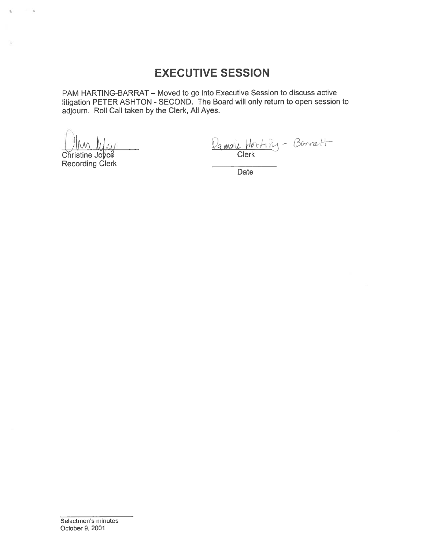# **EXECUTIVE SESSION**

PAM HARTING-BARRAT - Moved to go into Executive Session to discuss active litigation PETER ASHTON - SECOND. The Board will only return to open session to adjourn. Roll Call taken by the Clerk, All Ayes.

 $\sim$ 

g)

Christine Joyce **Recording Clerk** 

Pamole Horting - Borralt

**Date**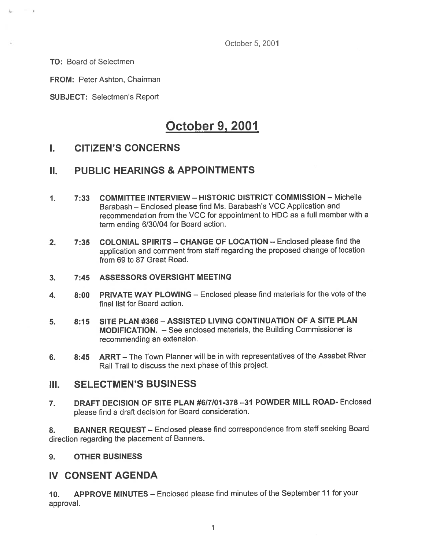October 5, 2001

TO: Board of Selectmen

 $\sim$ 

FROM: Peter Ashton, Chairman

SUBJECT: Selectmen's Report

# October 9, 2001

## I. CITIZEN'S CONCERNS

## II. PUBLIC HEARINGS & APPOINTMENTS

- 1. 7:33 COMMITTEE INTERVIEW— HISTORIC DISTRICT COMMISSION Michelle Barabash — Enclosed please find Ms. Barabash's VCC Application and recommendation from the VCC for appointment to HDC as <sup>a</sup> full member with <sup>a</sup> term ending 6/30/04 for Board action.
- 2. 7:35 COLONIAL SPIRITS CHANGE OF LOCATION Enclosed please find the application and comment from staff regarding the propose<sup>d</sup> change of location from 69 to 87 Great Road.
- 3. 7:45 ASSESSORS OVERSIGHT MEETING
- 4. 8:00 PRIVATE WAY PLOWING Enclosed please find materials for the vote of the final list for Board action.
- 5. 8:15 SITE PLAN #366 ASSISTED LIVING CONTINUATION OF A SITE PLAN MODIFICATION. — See enclosed materials, the Building Commissioner is recommending an extension.
- 6. 8:45 ARRT The Town Planner will be in with representatives of the Assabet River Rail Trail to discuss the next phase of this project.

## III. SELECTMEN'S BUSINESS

7. DRAFT DECISION OF SITE PLAN #6/7/01 -378 —31 POWDER MILL ROAD- Enclosed <sup>p</sup>lease find <sup>a</sup> draft decision for Board consideration.

8. BANNER REQUEST - Enclosed please find correspondence from staff seeking Board direction regarding the placement of Banners.

#### 9. OTHER BUSINESS

## IV CONSENT AGENDA

10. APPROVE MINUTES — Enclosed <sup>p</sup>lease find minutes of the September <sup>11</sup> for your approval.